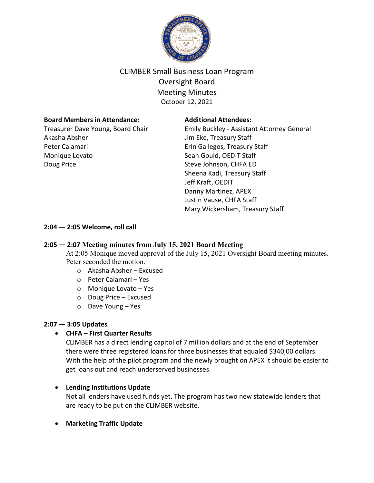

# CLIMBER Small Business Loan Program Oversight Board Meeting Minutes October 12, 2021

### **Board Members in Attendance:**

Treasurer Dave Young, Board Chair Akasha Absher Peter Calamari Monique Lovato Doug Price

#### **Additional Attendees:**

Emily Buckley - Assistant Attorney General Jim Eke, Treasury Staff Erin Gallegos, Treasury Staff Sean Gould, OEDIT Staff Steve Johnson, CHFA ED Sheena Kadi, Treasury Staff Jeff Kraft, OEDIT Danny Martinez, APEX Justin Vause, CHFA Staff Mary Wickersham, Treasury Staff

# **2:04 — 2:05 Welcome, roll call**

# **2:05 — 2:07 Meeting minutes from July 15, 2021 Board Meeting**

At 2:05 Monique moved approval of the July 15, 2021 Oversight Board meeting minutes. Peter seconded the motion.

- o Akasha Absher Excused
- o Peter Calamari Yes
- o Monique Lovato Yes
- o Doug Price Excused
- o Dave Young Yes

# **2:07 — 3:05 Updates**

# • **CHFA – First Quarter Results**

CLIMBER has a direct lending capitol of 7 million dollars and at the end of September there were three registered loans for three businesses that equaled \$340,00 dollars. With the help of the pilot program and the newly brought on APEX it should be easier to get loans out and reach underserved businesses.

# • **Lending Institutions Update**

Not all lenders have used funds yet. The program has two new statewide lenders that are ready to be put on the CLIMBER website.

# • **Marketing Traffic Update**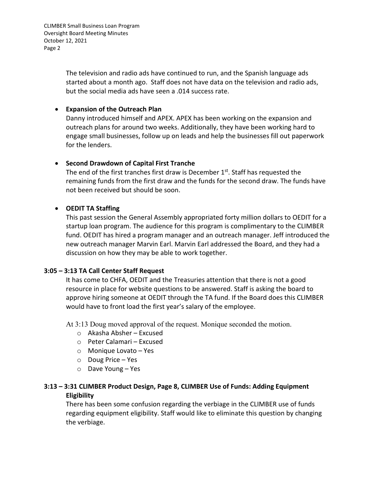CLIMBER Small Business Loan Program Oversight Board Meeting Minutes October 12, 2021 Page 2

> The television and radio ads have continued to run, and the Spanish language ads started about a month ago. Staff does not have data on the television and radio ads, but the social media ads have seen a .014 success rate.

## • **Expansion of the Outreach Plan**

Danny introduced himself and APEX. APEX has been working on the expansion and outreach plans for around two weeks. Additionally, they have been working hard to engage small businesses, follow up on leads and help the businesses fill out paperwork for the lenders.

### • **Second Drawdown of Capital First Tranche**

The end of the first tranches first draw is December 1st. Staff has requested the remaining funds from the first draw and the funds for the second draw. The funds have not been received but should be soon.

### • **OEDIT TA Staffing**

This past session the General Assembly appropriated forty million dollars to OEDIT for a startup loan program. The audience for this program is complimentary to the CLIMBER fund. OEDIT has hired a program manager and an outreach manager. Jeff introduced the new outreach manager Marvin Earl. Marvin Earl addressed the Board, and they had a discussion on how they may be able to work together.

#### **3:05 – 3:13 TA Call Center Staff Request**

It has come to CHFA, OEDIT and the Treasuries attention that there is not a good resource in place for website questions to be answered. Staff is asking the board to approve hiring someone at OEDIT through the TA fund. If the Board does this CLIMBER would have to front load the first year's salary of the employee.

At 3:13 Doug moved approval of the request. Monique seconded the motion.

- o Akasha Absher Excused
- o Peter Calamari Excused
- o Monique Lovato Yes
- o Doug Price Yes
- o Dave Young Yes

# **3:13 – 3:31 CLIMBER Product Design, Page 8, CLIMBER Use of Funds: Adding Equipment Eligibility**

There has been some confusion regarding the verbiage in the CLIMBER use of funds regarding equipment eligibility. Staff would like to eliminate this question by changing the verbiage.